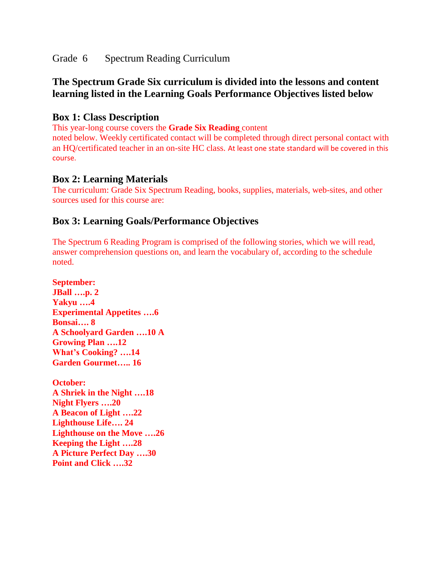Grade 6 Spectrum Reading Curriculum

# **The Spectrum Grade Six curriculum is divided into the lessons and content learning listed in the Learning Goals Performance Objectives listed below**

## **Box 1: Class Description**

This year-long course covers the **Grade Six Reading** content

noted below. Weekly certificated contact will be completed through direct personal contact with an HQ/certificated teacher in an on-site HC class. At least one state standard will be covered in this course.

### **Box 2: Learning Materials**

The curriculum: Grade Six Spectrum Reading, books, supplies, materials, web-sites, and other sources used for this course are:

## **Box 3: Learning Goals/Performance Objectives**

The Spectrum 6 Reading Program is comprised of the following stories, which we will read, answer comprehension questions on, and learn the vocabulary of, according to the schedule noted.

**September: JBall ….p. 2 Yakyu ….4 Experimental Appetites ….6 Bonsai…. 8 A Schoolyard Garden ….10 A Growing Plan ….12 What's Cooking? ….14 Garden Gourmet….. 16**

**October: A Shriek in the Night ….18 Night Flyers ….20 A Beacon of Light ….22 Lighthouse Life…. 24 Lighthouse on the Move ….26 Keeping the Light ….28 A Picture Perfect Day ….30 Point and Click ….32**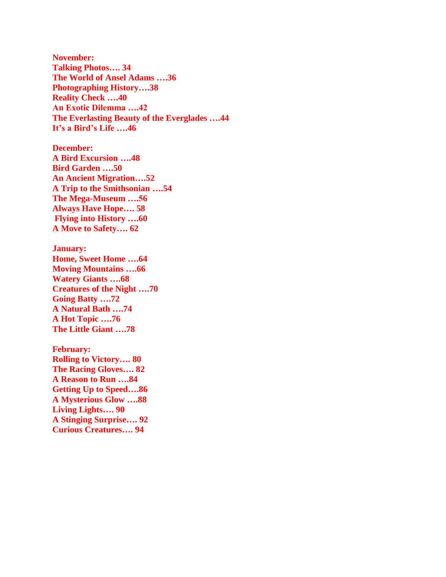**November: Talking Photos…. 34 The World of Ansel Adams ….36 Photographing History….38 Reality Check ….40 An Exotic Dilemma ….42 The Everlasting Beauty of the Everglades ….44 It's a Bird's Life ….46**

**December: A Bird Excursion ….48 Bird Garden ….50 An Ancient Migration….52 A Trip to the Smithsonian ….54 The Mega-Museum ….56 Always Have Hope…. 58 Flying into History ….60 A Move to Safety…. 62**

**January: Home, Sweet Home ….64 Moving Mountains ….66 Watery Giants ….68 Creatures of the Night ….70 Going Batty ….72 A Natural Bath ….74 A Hot Topic ….76 The Little Giant ….78**

**February: Rolling to Victory…. 80 The Racing Gloves…. 82 A Reason to Run ….84 Getting Up to Speed….86 A Mysterious Glow ….88 Living Lights…. 90 A Stinging Surprise…. 92 Curious Creatures…. 94**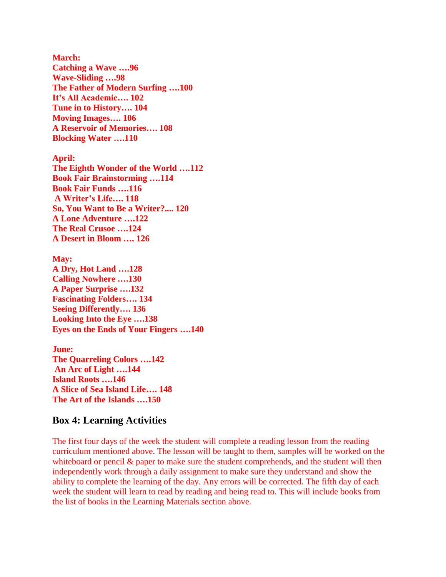**March: Catching a Wave ….96 Wave-Sliding ….98 The Father of Modern Surfing ….100 It's All Academic…. 102 Tune in to History…. 104 Moving Images…. 106 A Reservoir of Memories…. 108 Blocking Water ….110**

**April: The Eighth Wonder of the World ….112 Book Fair Brainstorming ….114 Book Fair Funds ….116 A Writer's Life…. 118 So, You Want to Be a Writer?.... 120 A Lone Adventure ….122 The Real Crusoe ….124 A Desert in Bloom …. 126**

**May: A Dry, Hot Land ….128 Calling Nowhere ….130 A Paper Surprise ….132 Fascinating Folders…. 134 Seeing Differently…. 136 Looking Into the Eye ….138 Eyes on the Ends of Your Fingers ….140**

**June: The Quarreling Colors ….142 An Arc of Light ….144 Island Roots ….146 A Slice of Sea Island Life…. 148 The Art of the Islands ….150**

#### **Box 4: Learning Activities**

The first four days of the week the student will complete a reading lesson from the reading curriculum mentioned above. The lesson will be taught to them, samples will be worked on the whiteboard or pencil  $\&$  paper to make sure the student comprehends, and the student will then independently work through a daily assignment to make sure they understand and show the ability to complete the learning of the day. Any errors will be corrected. The fifth day of each week the student will learn to read by reading and being read to. This will include books from the list of books in the Learning Materials section above.